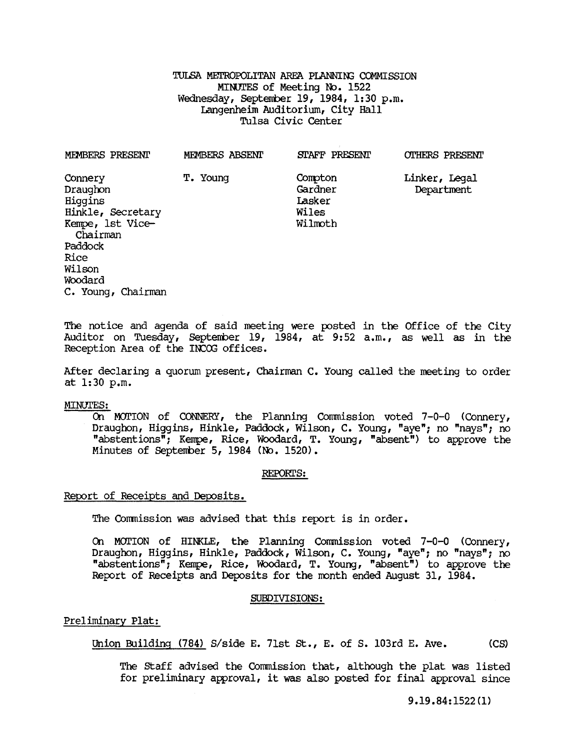TULSA METROPOLITAN AREA PLANNING COMMISSION MINUTES of Meeting No. 1522 Wednesday, September 19, 1984, 1:30 p.m. Langenheim Auditorium, City Hall Tulsa Civic Center

| MEMBERS PRESENT                                                                                                             | MEMBERS ABSENT | STAFF PRESENT                                    | <b>OTHERS PRESENT</b>       |
|-----------------------------------------------------------------------------------------------------------------------------|----------------|--------------------------------------------------|-----------------------------|
| Connery<br>Draughon<br>Hiqqins<br>Hinkle, Secretary<br>Kempe, 1st Vice-<br>Chairman<br>Paddock<br>Rice<br>Wilson<br>Woodard | T. Young       | Compton<br>Gardner<br>Lasker<br>Wiles<br>Wilmoth | Linker, Legal<br>Department |
| C. Young, Chairman                                                                                                          |                |                                                  |                             |

The notice and agenda of said meeting were posted in the Office of the City Auditor on Tuesday, September 19, 1984, at  $9:52$  a.m., as well as in the Reception Area of the INCOG offices.

After declaring a quorum present, Chairman C. Young called the meeting to order at 1:30 p.m.

#### MINUTES:

On MOTION of CONNERY, the Planning Commission voted  $7-0-0$  (Connery, Draughon, Higgins, Hinkle, Paddock, Wilson, C. Young, "aye"; no "nays"; no "abstentions"; Kempe, Rice, Woodard, T. Young, "absent") to approve the Minutes of September 5, 1984 (No. 1520).

#### REPORTS:

## Report of Receipts and Deposits.

The Commission was advised that this report is in order.

On MOTION of HINKLE, the Planning Commission voted 7-0-0 (Connery, Draughon, Higgins, Hinkle, Paddock, Wilson, C. Young, "aye"; no "nays"; no "abstentions"; Kempe, Rice, Woodard, T. Young, "absent") to approve the Report of Receipts and Deposits for the month ended August 31, 1984.

### SUBDIVISIONS:

### Preliminary Plat:

Union Building (784) *S*/side E. 71st St., E. of S. 103rd E. Ave. (CS)

The staff advised the Commission that, although the plat was listed for preliminary approval, it was also posted for final approval since

9.19.84:1522(1)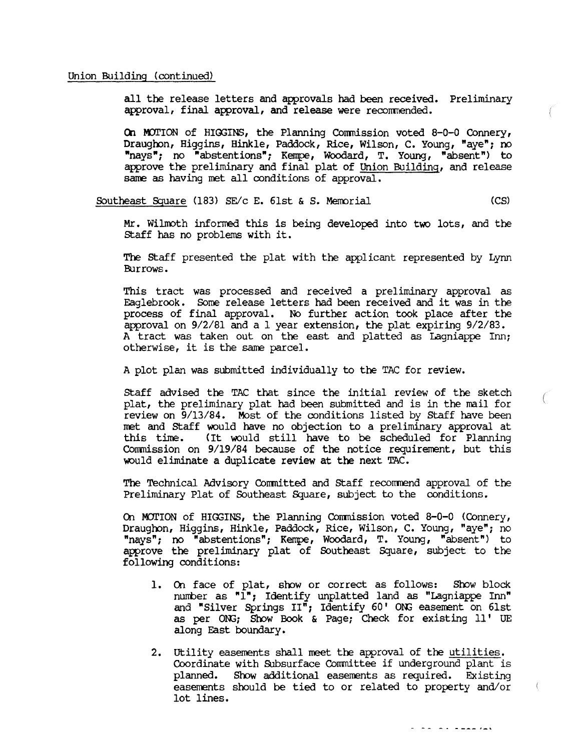# Union Building (continued)

all the release letters and approvals had been received. Preliminary approval, final approval, and release were recommended.

On MOTION of HIGGINS, the Planning Commission voted 8-0-0 Connery, Draughon, Higgins, Hinkle, Paddock, Rice, Wilson, C. Young, "aye"; no "nays"; no "abstentions"; Kempe, Woodard, T. Young, "absent") to approve the preliminary and final plat of Union Building, and release same as having met all conditions of approval.

Southeast Square (183) *SElc* E. GIst & S. Memorial (CS)

Mr. Wilmoth informed this is being developed into two lots, and the staff has no problems with it.

The staff presented the plat with the applicant represented by Lynn Burrows.

This tract was processed and received a preliminary approval as Eaglebrook. Some release letters had been received and it was in the process of final approval. No further action took place after the approval on *9/2/81* and a 1 year extension, the plat expiring *9/2/83.*  A tract was taken out on the east and platted as Lagniappe Inn; otherwise, it is the same parcel.

A plot plan was submitted individually to the TAC for review.

Staff advised the TAC that since the initial review of the sketch plat, the preliminary plat had been submitted and is in the mail for review on *9/13/84.* Most of the conditions listed by Staff have been met and Staff would have no objection to a preliminary approval at this time. (It would still have to be scheduled for Planning Commission on 9/19/84 because of the notice requirement, but this would eliminate a duplicate review at the next TAC.

The Technical Advisory Conmitted and Staff recormend approval of the Preliminary Plat of Southeast Square, subject to the conditions.

On MOTION of HIGGINS, the Planning Commission voted 8-0-0 (Connery, Draughon, Higgins, Hinkle, Paddock, Rice, Wilson, C. Young, "aye"; no "nays"; no "abstentions"; Kernpe, Woodard, T. Young, "absent") to approve the preliminary plat of Southeast Square, subject to the following conditions:

- 1. On face of plat, show or correct as follows: Show block number as "1"; Identify unplatted land as "Lagniappe Inn" and "Silver Springs  $II^{\pi}$ ; Identify 60' ONG easement on 61st as per ONG; Show Book & Page; Check for existing ll' UE along East boundary.
- 2. utility easements shall meet the approval of the utilities. Coordinate with SUbsurface Committee if underground plant is planned. Show additional easements as required. Existing easements should be tied to or related to property and/or lot lines.

 $- - - - - - - - - - - - -$ 

 $\left\{ \right.$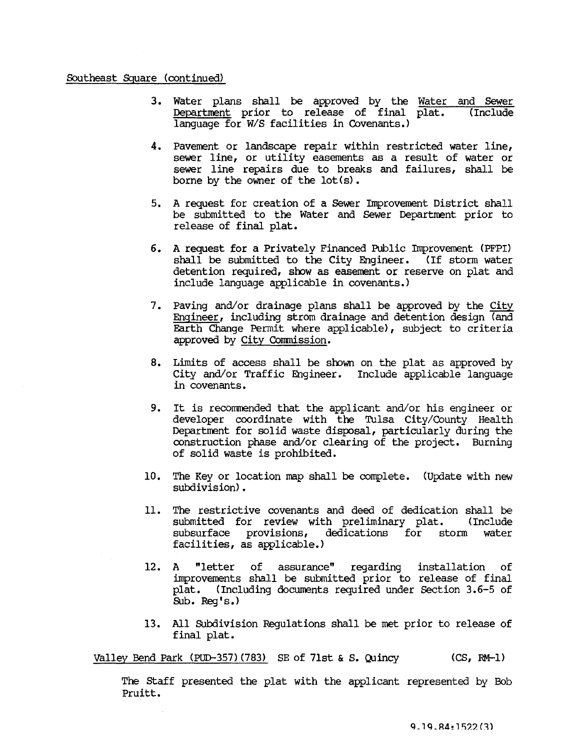# Southeast Square (continued)

- 3. Water plans shall be approved by the <u>Water and Sewer</u><br>Department prior to release of final plat. (Include Department prior to release of final plat. language for W/S facilities in Covenants.)
- 4. Pavement or landscape repair within restricted water line, sewer line, or utility easements as a result of water or sewer line repairs due to breaks and failures, shall be borne by the owner of the lot (s) •
- 5. A request for creation of a Sewer Improvement District shall be submitted to the Water and Sewer Department prior to release of final plat.
- 6. A request for a Privately Financed Public Improvement (PFPI) shall be submitted to the City Engineer. (If storm water detention required, show as easement or reserve on plat and include language applicable in covenants.)
- 7. paving and/or drainage plans shall be approved by the City Engineer, including strom drainage and detention design (and Earth Change Permit where applicable), subject to criteria approved by City Commission.
- 8. Limits of access shall be shown on the plat as approved by City and/or Traffic Engineer. Include applicable language in covenants.
- 9. It is recorrmended that the applicant and/or his engineer or developer coordinate with the Tulsa City/County Health Department for solid waste disposal, particularly during the construction phase and/or clearing of the project. Burning of solid waste is prohibited.
- 10. The Key or location map shall be complete. (Update with new subdivision).
- 11. The restrictive covenants and deed of dedication shall be submitted for review with preliminary plat. (Include subsurface provisions, dedications for storm water facilities, as applicable.)
- 12. A "letter of assurance" regarding installation of improvements shall be submitted prior to release of final plat. (Including documents required under section 3.6-5 of SUb. Reg's.)
- 13. All Subdivision Regulations shall be met prior to release of final plat.

Valley Bend Park (PUD-357) (783) SE of 71st & S. Quincy (CS, RM-l)

The staff presented the plat with the applicant represented by Bob Pruitt.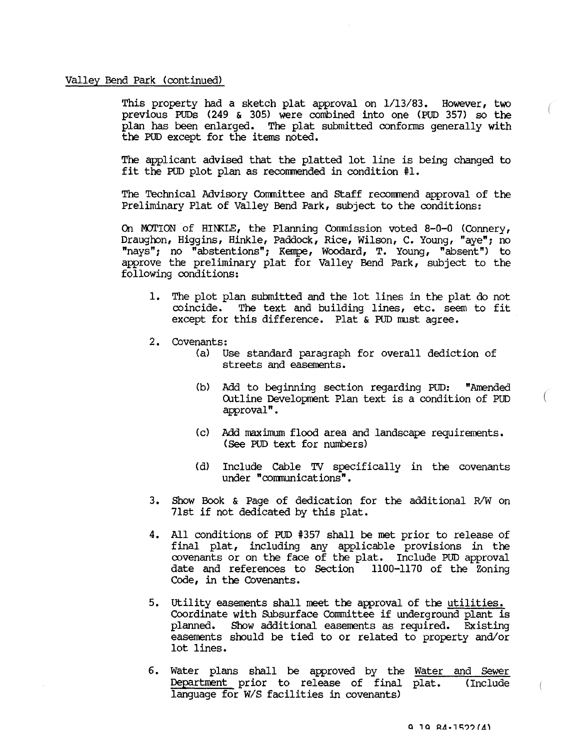### Valley Bend Park (continued)

This property had a sketch plat approval on  $1/13/83$ . However, two previous PUDs (249 & 305) were combined into one (PUD 357) so the plan has been enlarged. The plat submitted conforms generally with the PUD except for the items noted.

The applicant advised that the platted lot line is being changed to fit the PUD plot plan as recommended in condition  $#1$ .

The Technical Advisory Committee and Staff recommend approval of the Preliminary Plat of Valley Bend Park, subject to the conditions:

On MOTION of HINKLE, the Planning Commission voted 8-0-0 (Connery, Draughon, Higgins, Hinkle, Paddock, Rice, Wilson, C. Young, "aye"; no "nays"; no "abstentions"; Kempe, Woodard, T. Young, "absent") to approve the preliminary plat for Valley Bend Park, subject to the following conditions:

- 1. The plot plan submitted and the lot lines in the plat do not coincide. The text and building lines, etc. seem to fit except for this difference. Plat & PUD nust agree.
- 2. Covenants:
	- (a) Use standard paragraph for overall dediction of streets and easements.
	- (b) Add to beginning section regarding PUD: "Amended Outline Development Plan text is a condition of PUD approval".
	- (c) Add maximum flood area and landscape requirements. (See PUD text for numbers)
	- (d) Include Cable TV specifically in the covenants under "communications".
- 3. Show Book & Page of dedication for the additional R/W on 7lst if not dedicated by this plat.
- 4. All conditions of POD #357 shall be met prior to release of final plat, including any applicable provisions in the covenants or on the face of the plat. Include POD approval date and references to Section<sup>1</sup> 1100-1170 of the Zoning Code, in the Covenants.
- 5. utility easements shall meet the approval of the utilities. Coordinate with Subsurface Committee if underground plant is planned. Show additional easements as required. Existing easements should be tied to or related to property and/or lot lines.
- 6. Water plans shall be approved by the Water and Sewer Department prior to release of final plat. (Include language for W/S facilities in covenants)

Ť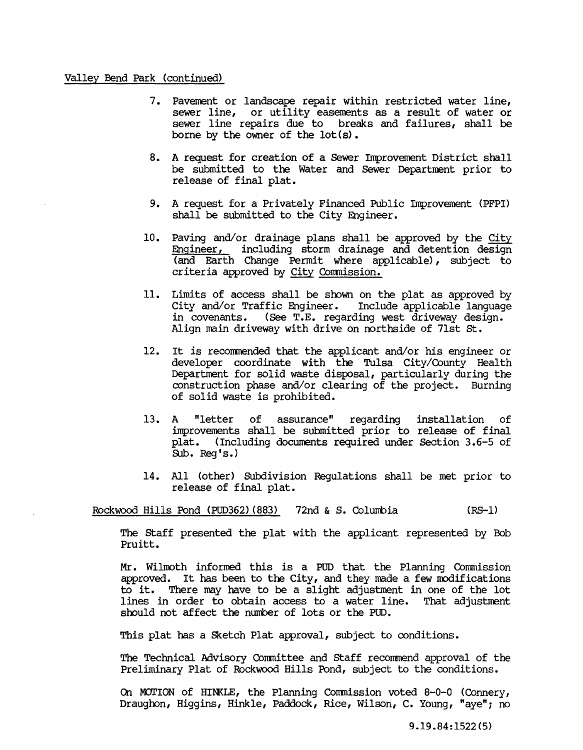# Valley Bend Park (continued)

- 7. Pavement or landscape repair within restricted water line, sewer line, or utility easements as a result of water or sewer line repairs due to breaks and failures, shall be borne by the owner of the lot (s) •
- 8. A request for creation of a Sewer Improvement District shall be submitted to the Water and Sewer Department prior to release of final plat.
- 9. A request for a Privately Financed Public Improvement (PFPI) shall be submitted to the City Engineer.
- 10. Paving and/or drainage plans shall be approved by the City Engineer, including storm drainage and detention design (and Earth Change Permit where applicable), subject to criteria approved by City Commission.
- 11. Limits of access shall be shown on the plat as approved by City and/or Traffic Engineer. Include applicable language in covenants. (See T.E. regarding west driveway design. Align main driveway with drive on northside of 7lst st.
- 12. It is recommended that the applicant and/or his engineer or developer coordinate with the Tulsa City/County Health Department for solid waste disposal, particularly during the construction phase and/or clearing of the project. Burning of solid waste is prohibited.
- 13. A "letter of assurance" regarding installation of improvements shall be submitted prior to release of final plat. (Including documents required under Section 3.6-5 of Sub. Req's.)
- 14. All (other) SUbdivision Regulations shall be met prior to release of final plat.

Rockwood Hills Pond (PUD362) (883) 72nd & S. Columbia (RS-l)

The staff presented the plat with the applicant represented by Bob Pruitt.

Mr. Wilmoth informed this is a PUD that the Planning Commission approved. It has been to the City, and they made a few modifications to it. There may have to be a slight adjustment in one of the lot lines in order to obtain access to a water line. That adjustment should not affect the number of lots or the PUD.

This plat has a Sketch Plat approval, subject to conditions.

The Technical Advisory Committee and Staff recommend approval of the Preliminary Plat of Rockwood Hills Pond, subject to the conditions.

On MOTION of HINKLE, the Planning Commission voted 8-0-0 (Connery, Draughon, Higgins, Hinkle, Paddock, Rice, Wilson, C. Young, "aye"; no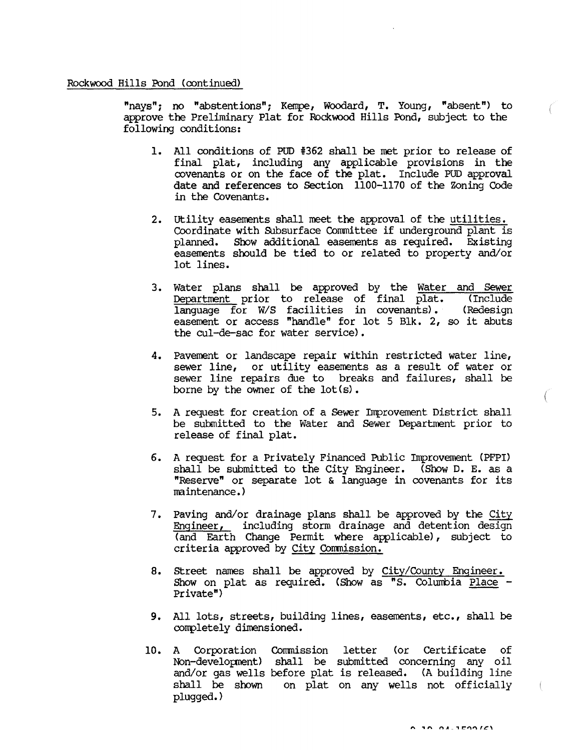# Rockwood Hills Pond (continued)

"nays"; no "abstentions"; Kempe, Woodard, T. Young, "absent") to approve the Preliminary Plat for Rockwood Hills Pond, subject to the following conditions:

- 1. All conditions of PUD #362 shall be met prior to release of final plat, including any applicable provisions in the covenants or on the face of the plat. Include PUD approval date and references to Section 1100-1170 of the Zoning Code in the Covenants.
- 2. utility easerents shall meet the approval of the utilities. Coordinate with Subsurface Committee if underground plant is planned. Show additional easements as required. Existing easements should be tied to or related to property and/or lot lines.
- 3. Water plans shall be approved by the <u>Water and Sewer</u><br>Department prior to release of final plat. (Include Department prior to release of final plat. (Include language for W/S facilities in covenants). (Redesign language for W/S facilities in covenants). easement or access "handle" for lot 5 Blk. 2, so it abuts the cul-de-sac for water service).
- 4. Pavement or landscape repair within restricted water line, sewer line, or utility easements as a result of water or sewer line repairs due to breaks and failures, shall be borne by the owner of the lot (s) •
- 5. A request for creation of a Sewer Improvement District shall be submitted to the Water and Sewer Department prior to release of final plat.
- 6. A request for a Privately Financed Public Improvement (PFPI) shall be submitted to the City Engineer. (Show D. E. as a "Reserve" or separate lot & language in covenants for its maintenance. )
- 7. Paving and/or drainage plans shall be approved by the City Engineer, including storm drainage and detention design (and Earth Change Permit where applicable), subject to criteria approved by City Commission.
- 8. street names shall be approved by City/County Engineer. Show on plat as required. (Show as "S. Columbia <u>Place</u> - Private")
- 9. All lots, streets, building lines, easements, etc., shall be completely dimensioned.
- 10. A Corporation Commission letter (or Certificate of Non-development) shall be submitted concerning any oil and/or gas wells before plat is released. (A building line shall be shown on plat on any wells not officially plugged.)

 $\left($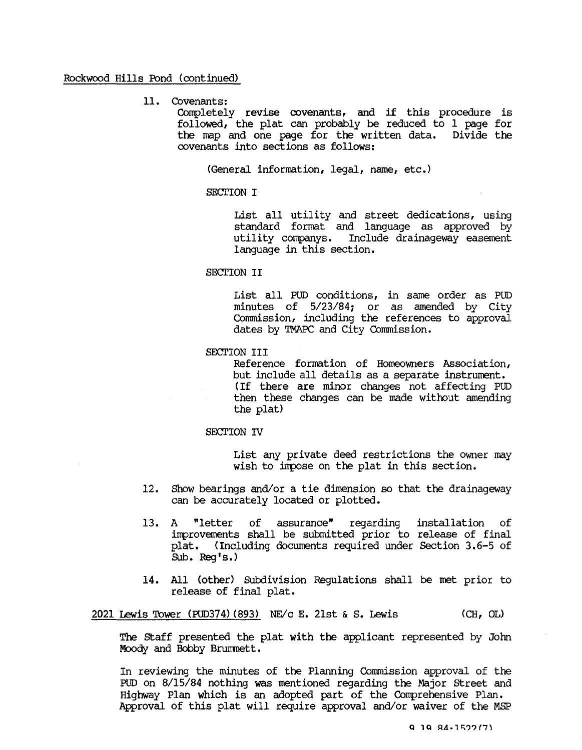Rockwood Hills Pond (continued)

11. Covenants:

Completely revise covenants, and if this procedure is followed, the plat can probably be reduced to 1 page for the map and one page for the written data. Divide the covenants into sections as follows:

(General information, legal, name, etc.)

SECTION I

List all utility and street dedications, using standard format and language as approved by utility companys. Include drainageway easement language in this section.

# SECTION II

List all PUD conditions, in same order as PUD minutes of 5/23/84; or as amended by City Commission, including the references to approval dates by TMAPC and City Commission.

SECTION III

Reference formation of Homeowners Association, but include all details as a separate instrument. (If there are minor changes not affecting PUD then these changes can be made without amending the plat)

# SECTION IV

List any private deed restrictions the owner may wish to impose on the plat in this section.

- 12. Show bearings and/or a tie dimension so that the drainageway can be accurately located or plotted.
- 13. A "letter of assurance" regarding installation of improvements shall be submitted prior to release of final plat. (Including documents required under Section 3.6-5 of Sub. Reg's.)
- 14. All (other) Subdivision Regulations shall be met prior to release of final plat.

2021 Lewis Tower (PU0374) (893) NEVc E. 21st & S. Lewis (CH, OL)

The staff presented the plat with the applicant represented by John Moody and Bobby Brumnett.

In reviewing the minutes of the Planning Commission approval of the PUD on 8/15/84 nothing was mentioned regarding the Major street and Highway Plan which is an adopted part of the Comprehensive Plan. Approval of this plat will require approval and/or waiver of the MSP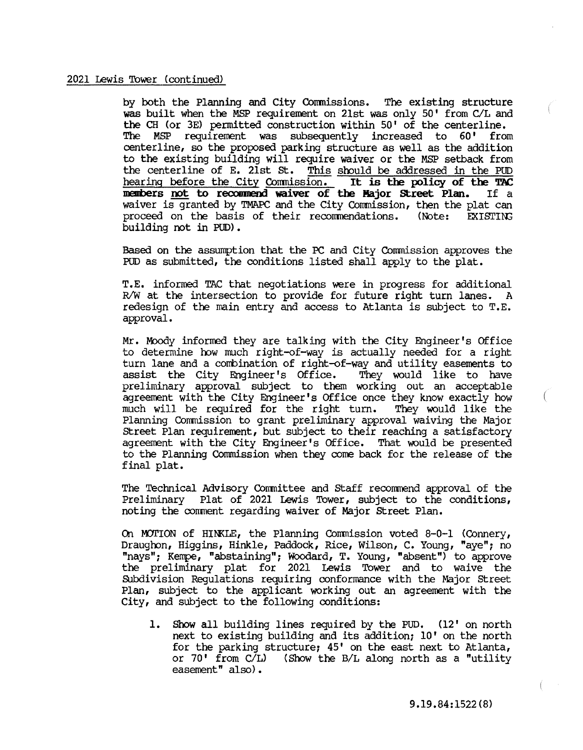### 2021 Lewis Tower (continued)

by both the Planning and City Conmissions. The existing structure was built when the MSP requirement on 21st was only 50' from C/L and the CH (or 3E) permitted construction within 50' of the centerline. The MSP requirement was subsequently increased to 60' from centerline, so the proposed parking structure as well as the addition to the existing building will require waiver or the MSP setback from the centerline of E. 21st St. This should be addressed in the PUD<br>hearing before the City Commission. It is the policy of the TAC hearing before the City Commission. It is the policy of the TAC<br>members not to recommend waiver of the Major Street Plan. If a members not to recommend waiver of the Major Street Plan. waiver is granted by TMAPC and the City Commission, then the plat can proceed on the basis of their recommendations. (Note: EXISTING building not in PUD).

Based on the assumption that the PC and City Commission approves the PUD as submitted, the conditions listed shall apply to the plat.

T.E. informed ThC that negotiations were in progress for additional R/W at the intersection to provide for future right turn lanes. A redesign of the main entry and access to Atlanta is subject to T.E. approval.

Mr. Moody informed they are talking with the City Engineer's Office to determine how much right-of-way is actually needed for a right turn lane and a combination of right-of-way and utility easements to assist the City Engineer's Office. They would like to have assist the City Engineer's Office. preliminary approval subject to them working out an acceptable agreement with the City Engineer's Office once they know exactly how much will be required for the right turn. They would like the much will be required for the right turn. Planning Commission to grant preliminary approval waiving the Major street Plan requirement, but subject to their reaching a satisfactory agreement with the City Engineer's Office. That would be presented to the Planning Commission when they cone back for the release of the final plat.

The Technical Advisory Conmittee and staff recorrmend approval of the Preliminary Plat of 2021 Lewis Tower, subject to the conditions, noting the corrment regarding waiver of Major street Plan.

On MOTION of HINKLE, the Planning Commission voted 8-0-1 (Connery, Draughon, Higgins, Hinkle, Paddock, Rice, Wilson, C. Young, "aye"; no "nays"; Kempe, "abstaining"; Woodard, T. Young, "absent") to approve the preliminary plat for 2021 Lewis Tower and to waive the SUbdivision Regulations requiring conformance with the Major street Plan, subject to the applicant working out an agreement with the City, and subject to the following conditions:

1. Show all building lines required by the PUD. (12' on north next to existing building and its addition; 10' on the north for the parking structure; 45' on the east next to Atlanta, or 70' from C/L) (Show the B/L along north as a "utility easement" also).

9.19.84:1522(8)

f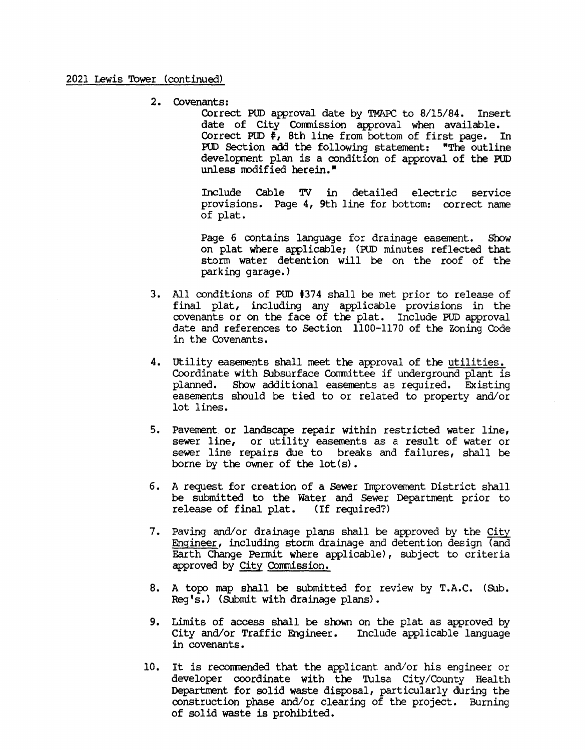2. Covenants:

Correct PUD approval date by TMAPC to 8/15/84. Insert date of City Commission approval when available. Correct PUD  $\frac{1}{2}$ , 8th line from bottom of first page. In POD Section add the following statement: "The outline development plan is a condition of approval of the PUD unless modified herein."

Include Cable TV in detailed electric service provisions. Page 4, 9th line for bottom: correct name of plat.

Page 6 contains language for drainage easement. Show on plat where applicable; (PUD minutes reflected that storm water detention will be on the roof of the parking garage.)

- 3. All conditions of PUD 1374 shall be met prior to release of final plat, including any applicable provisions in the covenants or on the face of the plat. Include PUD approval date and references to Section 1100-1170 of the Zoning Code in the Covenants.
- 4. utility easements shall meet the approval of the utilities. Coordinate with Subsurface Committee if underground plant is planned. Show additional easements as required. Existing easements should be tied to or related to property and/or lot lines.
- 5. Pavement or landscape repair within restricted water line, sewer line, or utility easements as a result of water or sewer line repairs due to breaks and failures, shall be borne by the owner of the lot (s) •
- 6. A request for creation of a sewer Improvement District shall be submitted to the Water and sewer Department prior to release of final plat. (If required?)
- 7. Paving and/or drainage plans shall be approved by the City Engineer, including storm drainage and detention design (and Earth Change Permit where applicable), subject to criteria approved by City Commission.
- 8. A topo map shall be submitted for review by T.A.C. (Sub. Reg's.) (SUbmit with drainage plans).
- 9. Limits of access shall be srown on the plat as approved by City and/or Traffic Engineer. Include applicable language in covenants.
- 10. It is recommended that the applicant and/or his engineer or developer coordinate with the Tulsa City/County Health Department for solid waste disposal, particularly during the construction phase and/or clearing of the project. Burning of solid waste is prohibited.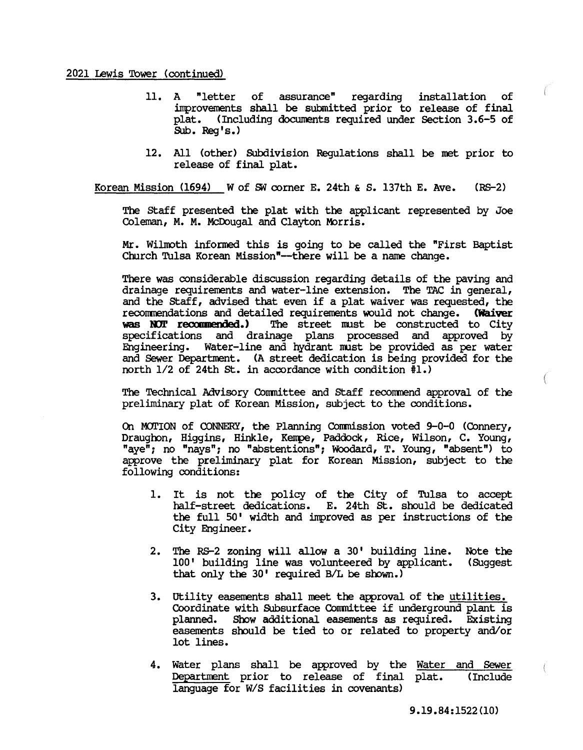### 2021 Lewis Tower (continued)

- 11. A "letter of assurance" regarding installation of inprovements shall be submitted prior to release of final plat. (Including documents required under Section 3.6-5 of Sub. Reg's.)
- 12. All (other) Subdivision Regulations shall be met prior to release of final plat.

Korean Mission (1694) W of SW corner E. 24th & S. 137th E. Ave.  $(RS-2)$ 

The staff presented the plat with the applicant represented by Joe Coleman, M. M. McDougal and Clayton Morris.

Mr. WilIooth informed this is going to be called the "First Baptist Church Tulsa Korean Mission"--there will be a name change.

There was considerable discussion regarding details of the paving and drainage requirements and water-line extension. The TAC in general, and the staff, advised that even if a plat waiver was requested, the recommendations and detailed requirements would not change. **(Waiver was NOT recommended.)** The street must be constructed to City The street must be constructed to City specifications and drainage plans processed and approved by Engineering. Water-line and hydrant must be provided as per water and Sewer Department. (A street dedication is being provided for the north  $1/2$  of 24th St. in accordance with condition  $\overline{1}$ .)

The Technical Advisory Conmittee and staff recormend approval of the preliminary plat of Korean Mission, subject to the conditions.

On MOTION of CONNERY, the Planning Commission voted 9-0-0 (Connery, Draughon, Higgins, Hinkle, Kempe, Paddock, Rice, Wilson, C. Young, "aye"; no "nays"; no "abstentions"; WOOdard, T. Young, "absent") to approve the preliminary plat for Korean Mission, subject to the following conditions:

- 1. It is not the policy of the City of Tulsa to accept half-street dedications. E. 24th st. should be dedicated the full 50' width and improved as per instructions of the City Engineer.
- 2. The RS-2 zoning will allow a 30' building line. 100' building line was volunteered by applicant. that only the  $30'$  required B/L be shown.) Note the (SUggest
- 3. utility easements shall meet the approval of the utilities. Coordinate with Subsurface Committee if underground plant is planned. Show additional easements as required. Existing easements should be tied to or related to property and/or lot lines.
- 4. Water plans shall be approved by the Water and Sewer Department prior to release of final plat. (Include language for *W/S* facilities in covenants)

 $\left($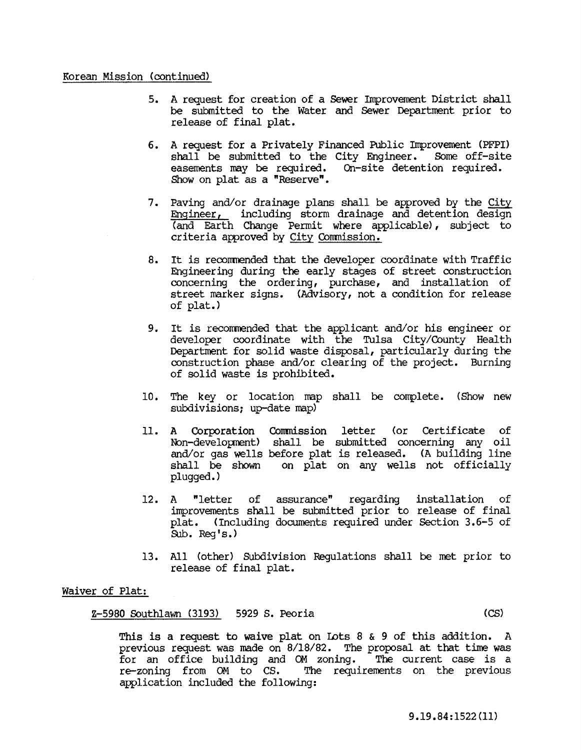# Korean Mission (continued)

- 5. A request for creation of a Sewer Improvement District shall be submitted to the water and Sewer Department prior to release of final plat.
- 6. A request for a Privately Financed Public Improvement (PFPI) shall be submitted to the City Engineer. easements may be required. On-site detention required. Show on plat as a "Reserve".
- 7. Paving and/or drainage plans shall be approved by the City Engineer, including storm drainage and detention design (and Earth Change Permit where applicable), subject to criteria approved by City Commission.
- 8. It is recommended that the developer coordinate with Traffic Engineering during the early stages of street construction concerning the ordering, purchase, and installation of street marker signs. (Advisory, not a condition for release of plat.)
- 9. It is recommended that the applicant and/or his engineer or developer coordinate with the Tulsa City/County Health Department for solid waste disposal, particularly during the construction phase and/or clearing of the project. Burning of solid waste is prohibited.
- 10. The key or location map shall be complete. (Show new subdivisions; up-date map)
- 11. A Corporation Conmission letter (or Certificate of Non-development) shall be submitted concerning any oil and/or gas wells before plat is released. (A building line shall be shown on plat on any wells not officially plugged. )
- 12. A "letter of assurance" regarding installation of improvements shall be submitted prior to release of final plat. (Including documents required under Section 3.6-5 of Sub. Reg's.)
- 13. All (other) Subdivision Regulations shall be met prior to release of final plat.

# Waiver of Plat:

Z-5980 Southlawn (3193) 5929 S. Peoria (CS)

This is a request to waive plat on Lots 8  $\&$  9 of this addition. A previous request was made on 8/18/82. The proposal at that time was for an office building and OM zoning. The current case is a re-zoning from OM to CS. The requirements on the previous application included the following: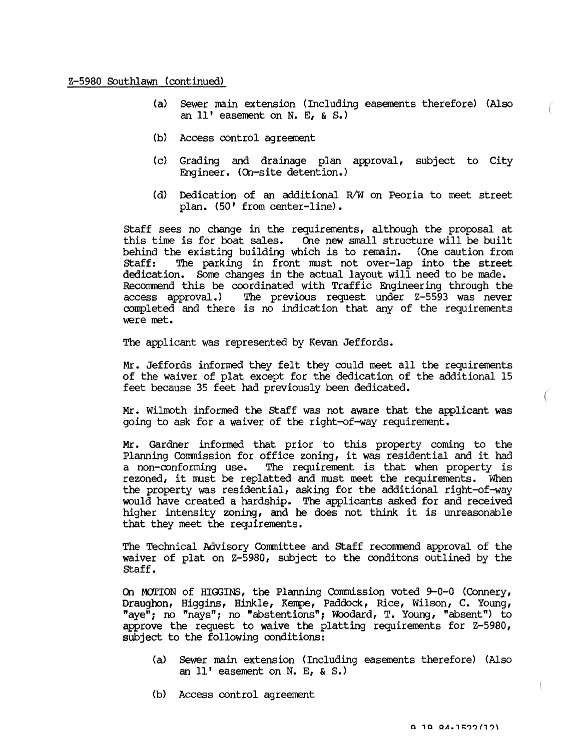# Z-S980 Southlawn (continued)

- (a) Sewer main extension (Including easements therefore) (Also an 11' easement on N. E, & S.)
- (b) Access control agreement
- (c) Grading and drainage plan approval, subject to City Engineer. (On-site detention.)
- (d) Dedication of an additional R/W on Peoria to meet street plan. (SO' from center-line).

staff sees no change in the requirements, although the proposal at this time is for boat sales. One new small structure will be built behind the existing building which is to remain. (One caution from Staff: The parking in front must not over-lap into the street The parking in front must not over-lap into the street dedication. Some changes in the actual layout will need to be made. Recommend this be coordinated with Traffic Engineering through the access approval.) The previous request under Z-5593 was never The previous request under Z-5593 was never completed and there is no indication that any of the requirements were met.

The applicant was represented by Kevan Jeffords.

Mr. Jeffords informed they felt they could meet all the requirements of the waiver of plat except for the dedication of the additional IS feet because 35 feet had previously been dedicated.

Mr. Wilmoth informed the Staff was not aware that the applicant was going to ask for a waiver of the right-of-way requirement.

Mr. Gardner informed that prior to this property coming to the Planning COmmission for office zoning, it was residential and it had a non-conforming use. The requirement is that when property is rezoned, it must be replatted and must meet the requirements. When the property was residential, asking for the additional right-of-way would have created a hardship. The applicants asked for and received higher intensity zoning, and he does not think it is unreasonable that they meet the requirements.

The Technical Advisory COmmittee and staff recommend approval of the waiver of plat on Z-S980, subject to the conditons outlined by the staff.

On MOTION of HIGGINS, the Planning Commission voted  $9-0-0$  (Connery, Draughon, Higgins, Hinkle, Kempe, Paddock, Rice, Wilson, C. Young, "aye"; no "nays"; no "abstentions"; Woodard, T. Young, "absent") to approve the request to waive the platting requirements for  $Z-5980$ , subject to the following conditions:

- (a) Sewer main extension (Including easements therefore) (Also an 11' easement on N. E, & S.)
- (b) Access control agreement

 $\bigg($ 

€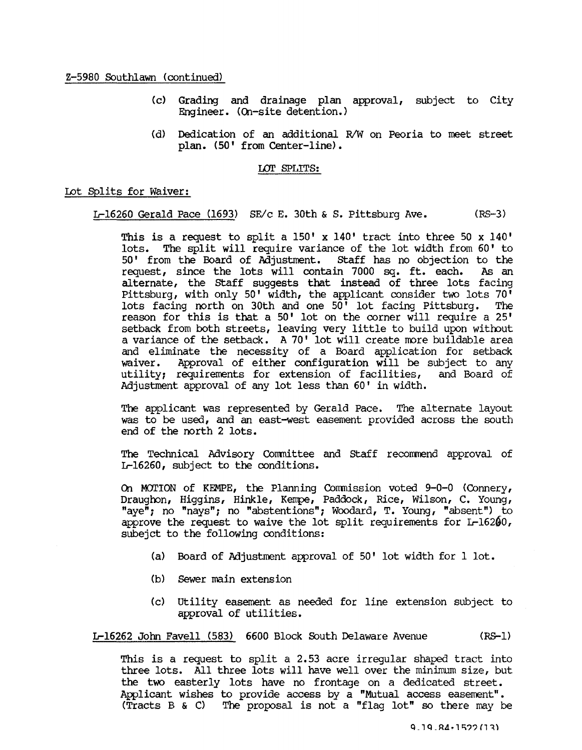Z-5980 Southlawn (continued)

- (c) Grading and drainage plan approval, subject to City Engineer. (On-site detention.)
- (d) Dedication of an additional R/W on Peoria to meet street plan. (50' from Center-line).

### LOr SPLITS:

# Lot Splits for Waiver:

L-16260 Gerald Pace (1693) SE/c E. 30th & S. Pittsburg Ave. (RS-3)

This is a request to split a 150' x 140' tract into three 50 x 140' lots. The split will require variance of the lot width from 60' to 50' from the Board of Adjustment. staff has no objection to the request, since the lots will contain 7000 sq. ft. each. alternate, the staff suggests that instead of three lots facing Pittsburg, with only 50' width, the applicant consider two lots  $70^7$ lots facing north on 30th and one 50' lot facing Pittsburg. The reason for this is that a 50' lot on the corner will require a 25' setback from both streets, leaving very little to build upon without a variance of the setback. A 70' lot will create more buildable area and eliminate the necessity of a Board application for setback waiver. Approval of either configuration will be subject to any utility; requirements for extension of facilities, and Board of utility; requirements for extension of facilities, Adjustment approval of any lot less than 60' in width.

The applicant was represented by Gerald Pace. The alternate layout was to be used, and an east-west easement provided across the south end of the north 2 lots.

The Technical Advisory COnmittee and staff recorrmend approval of L-16260, subject to the conditions.

Q1 MOrION of KEMPE, the Planning COnmission voted 9-0-0 (COnnery, Draughon, Higgins, Hinkle, Kerrpe, Paddock, Rice, Wilson, C. Young, "aye"; no "nays"; no "abstentions"; Woodard, T. Young, "absent") to approve the request to waive the lot split requirements for  $L-16200$ , subejct to the following conditions:

- (a) Board of Adjustment approval of 50' lot width for 1 lot.
- (b) Sewer main extension
- (c) utility easement as needed for line extension subject to approval of utilities.

L-16262 John Favell (583) 6600 Block South Delaware Avenue (RG-I)

This is a request to split a 2.53 acre irregular shaped tract into three lots. All three lots will have well over the minimum size, but the two easterly lots have no frontage on a dedicated street. Applicant wishes to provide access by a "Mutual access easement". (Tracts B & C) The proposal is not a "flag lot" so there may be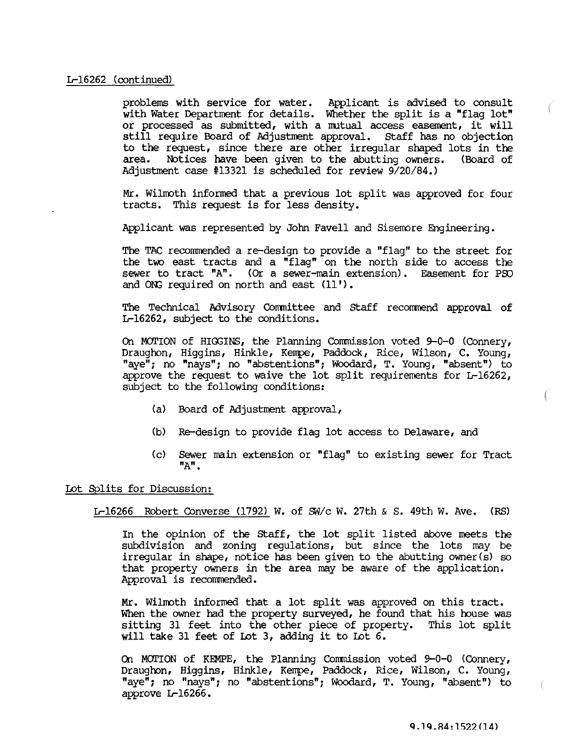# Ir-16262 (continued)

problems with service for water. Applicant is advised to consult with Water Department for details. Whether the split is a "flag lot" or processed as submitted, with a nutual access easement, it will still require Board of Adjustment approval. Staff has no objection to the request, since there are other irregular shaped lots in the area. Notices have been given to the abutting owners. (Board of Adjustment case #13321 is scheduled for review 9/20/84.)

Mr. Wilmoth informed that a previous lot split was approved for four tracts. This request is for less density.

Applicant was represented by John Favell and Sisemore Engineering.

The TAC recommended a re-design to provide a "flag" to the street for the two east tracts and a "flag" on the north side to access the sewer to tract "A". (Or a sewer-main extension). Easement for PSO and ONG required on north and east (11').

The Technical Advisory Committee and Staff recommend approval of Ir-16262, subject to the conditions.

On MOTION of HIGGINS, the Planning Commission voted 9-0-0 (Connery, Draughon, Higgins, Hinkle, Kerrpe, Paddock, Rice, Wilson, C. Young, "aye"; no "nays"; no "abstentions"; WOOdard, T. Young, "absent") to approve the request to waive the lot split requirements for Ir-16262, subject to the following conditions:

- (a) Board of Adjustment approval,
- (b) Re-design to provide flag lot access to Delaware, and
- (c) sewer main extension or "flag" to existing sewer for Tract "A".

Lot Splits for Discussion:

Ir-16266 Robert Converse (1792) W. of *SW/c* w. 27th & S. 49th W. Ave. (RS)

In the opinion of the Staff, the lot split listed above meets the subdivision and zoning regulations, but since the lots may be irregular in shape, notice has been given to the abutting owner (s) so that property owners in the area may be aware of the application. Approval is recommended.

Mr. WilIroth informed that a lot split was approved on this tract. When the owner had the property surveyed, he found that his house was sitting 31 feet into the other piece of property. This lot split will take 31 feet of Lot 3, adding it to lot 6.

On MOrION of KEMPE, the Planning Conmission voted 9-0-0 (Connery, Draughon, Higgins, Hinkle, Kerrpe, Paddock, Rice, Wilson, C. Young, "aye"; no "nays"; no "abstentions"; WOOdard, T. Young, "absent") to approve Ir-16266.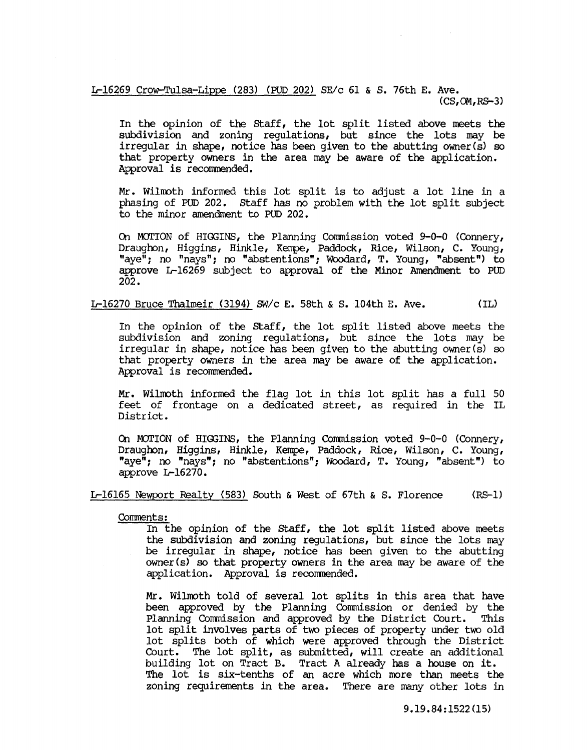### L-16269 Crow-Tulsa-Lippe (283) (PUD 202) SE/c 61 & S. 76th E. Ave. (CS,OM,RS-3)

In the opinion of the staff, the lot split listed above meets the subdivision and zoning regulations, but since the lots may be irregular in shape, notice has been given to the abutting owner(s) so that property owners in the area may be aware of the application. Approval is recommended.

Mr. Wilroth informed this lot split is to adjust a lot line in a phasing of PUD 202. staff has no problem with the lot split subject to the minor amendment to PUD 202.

On MOTION of HIGGINS, the Planning Commission voted 9-0-0 (Connery, Draughon, Higgins, Hinkle, Kempe, Paddock, Rice, Wilson, C. Young, "aye"; no "nays"; no "abstentions"; Woodard, T. Young, "absent") to approve L-16269 subject to approval of the Minor Amendment to PUD 202.

L-16270 Bruce Thalmeir (3194) *SW/c* E. 58th & S. 104th E. Ave. (IL)

In the opinion of the staff, the lot split listed above meets the subdivision and zoning regulations, but since the lots may be irregular in shape, notice has been given to the abutting owner(s) so that property owners in the area may be aware of the application. Approval is recommended.

Mr. Wilmoth informed the flag lot in this lot split has a full 50 feet of frontage on a dedicated street, as required in the IL District.

On MOTION of HIGGINS, the Planning Commission voted 9-0-0 (Connery, Draughon, Higgins, Hinkle, Kempe, Paddock, Rice, Wilson, C. Young, "aye"; no "nays"; no "abstentions"; Woodard, T. Young, "absent") to approve L-16270.

L-16165 Newport Realty (583) South & West of 67th & S. Florence (RS-l)

Comments:

In the opinion of the staff, the lot split listed above meets the subdivision and zoning regulations, but since the lots may be irregular in shape, notice has been given to the abutting owner (s) so that property owners in the area may be aware of the application. Approval is recommended.

Mr. Wilmoth told of several lot splits in this area that have been approved by the Planning Commission or denied by the Planning Commission and approved by the District Court. This lot split involves parts of two pieces of property under two old lot splits both of which were approved through the District Court. The lot split, as submitted, will create an additional building lot on Tract B. Tract A already has a house on it. The lot is six-tenths of an acre which more than meets the zoning requirements in the area. There are many other lots in

9.19.84:1522(15)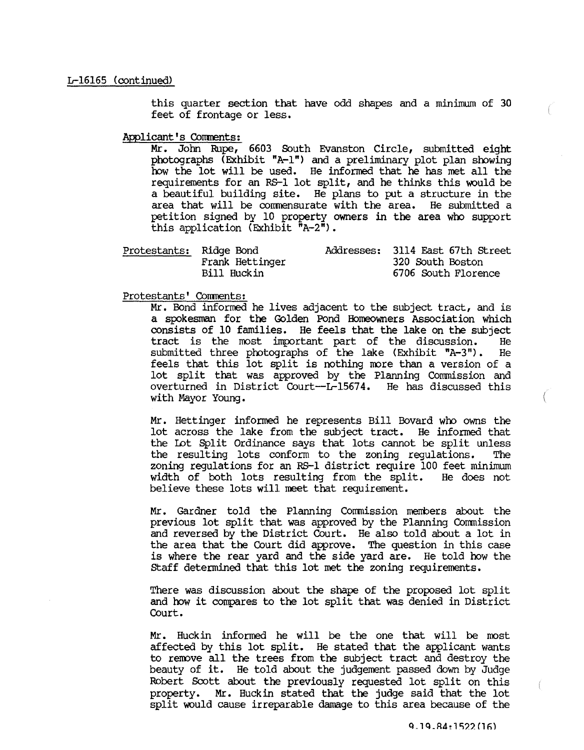this quarter section that have odd shapes and a minimum of 30 feet of frontage or less.

Applicant's Corments:

Mr. Jotm Rupe, 6603 South Evanston Circle, submitted eight photographs (Exhibit "A-I") and a preliminary plot plan showing how the lot will be used. He informed that he has met all the requirements for an RS-l lot split, and he thinks this would be a beautiful building site. He plans to put a structure in the area that will be cornnensurate with the area. He submitted a petition signed by 10 property owners in the area who support this application (Exhibit "A-2").

| Protestants: Ridge Bond |                 | Addresses: 3114 East 67th Street |  |
|-------------------------|-----------------|----------------------------------|--|
|                         | Frank Hettinger | 320 South Boston                 |  |
|                         | Bill Huckin     | 6706 South Florence              |  |

Protestants' Comments:

Mr. Bond informed he lives adjacent to the subject tract, and is a spokesman for the Golden Pond Homeowners Association which consists of 10 families. He feels that the lake on the subject tract is the most important part of the discussion. He submitted three photographs of the lake (Exhibit "A-3"). He feels that this lot split is nothing more than a version of a lot split that was approved by the Planning Commission and overturned in District Court-L-15674. He has discussed this with Mayor Young.

Mr. Hettinger informed he represents Bill Bovard who owns the lot across the lake from the subject tract. He informed that the lot Split Ordinance says that lots cannot be split unless the resulting lots conform to the zoning regulations. The zoning regulations for an RS-1 district require 100 feet minimum width of both lots resulting from the split. He does not believe these lots will meet that requirement.

Mr. Gardner told the Planning Commission members about the previous lot split that was approved by the Planning Commission and reversed by the District Court. He also told about a lot in the area that the Court did approve. The question in this case is where the rear yard and the side yard are. He told how the staff determined that this lot met the zoning requirements.

There was discussion about the shape of the proposed lot split and how it compares to the lot split that was denied in District Court.

Mr. Huckin informed he will be the one that will be most affected by this lot split. He stated that the applicant wants to remove all the trees from the subject tract and destroy the beauty of it. He told about the judgement passed down by Judge Robert Scott about the previously requested lot split on this property. Mr. Huckin stated that the judge said that the lot split would cause irreparable damage to this area because of the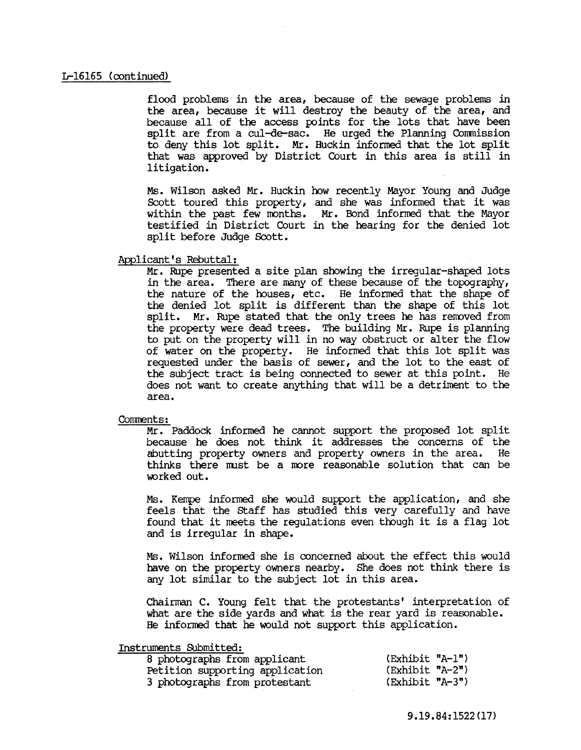flood problems in the area, because of the sewage problems in the area, because it will destroy the beauty of the area, and because all of the access points for the lots that have been split are from a cul-de-sac. He urged the Planning Commission to deny this lot split. Mr. Huckin informed that the lot split that was approved by District Court in this area is still in litigation.

Ms. Wilson asked Mr. Huckin how recently Mayor Young and Judge Scott toured this property, and she was informed that it was within the past few roonths. Mr. Bond informed that the Mayor testified in District Court in the hearing for the denied lot split before Judge Scott.

### Applicant's Rebuttal:

Mr. Rupe presented a site plan showing the irregular-shaped lots in the area. There are many of these because of the topography, the nature of the houses, etc. He informed that the shape of the denied lot split is different than the shape of this lot split. Mr. Rupe stated that the only trees he has removed from the property were dead trees. The building Mr. Rupe is planning to put on the property will in no way obstruct or alter the flow of water on the property. He informed that this lot split was requested under the basis of sewer, and the lot to the east of the subject tract is being connected to sewer at this point. He does not want to create anything that will be a detriment to the area.

# Comments:

Mr. Paddock informed he cannot support the proposed lot split because he does not think it addresses the concerns of the abutting property owners and property owners in the area. thinks there must be a more reasonable solution that can be worked out.

 $MS.$  Kempe informed she would support the application, and she feels that the staff has studied this very carefully and have found that it meets the regulations even though it is a flag lot and is irregular in shape.

Ms. Wilson informed she is concerned about the effect this would have on the property owners nearby. She does not think there is any lot similar to the subject lot in this area.

Chairman C. Young felt that the protestants' interpretation of what are the side yards and what is the rear yard is reasonable. He informed that he would not support this application.

### Instruments Submitted:

| 8 photographs from applicant    | (Exhibit "A-1")   |  |
|---------------------------------|-------------------|--|
| Petition supporting application | (Exhibit "A-2")   |  |
| 3 photographs from protestant   | $(Exhibit "A-3")$ |  |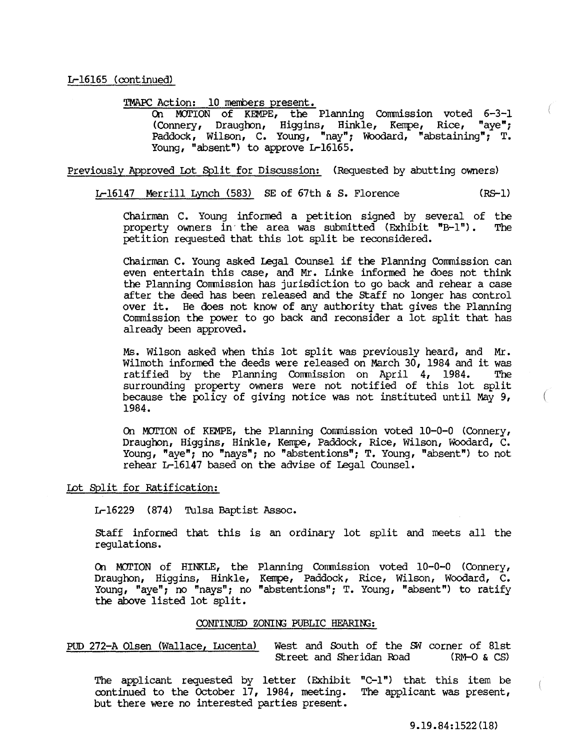TMAPC Action: 10 members present.

On MOTION of KEMPE, the Planning COmmission voted 6-3-1 (Connery, Draughon, Higgins, Hinkle, Kempe, Rice, "aye"; Paddock, Wilson, C. Young, "nay"; Woodard, "abstaining"; T. Young, "absent") to approve L-16165.

Previously Approved Lot Split for Discussion: (Requested by abutting owners)

L-16l47 Merrill Lynch (583) SE of 67th & S. Florence (RS-l)

Chairman C. Young informed a petition signed by several of the property owners in the area was submitted (Exhibit "B-1"). The property owners in the area was submitted  $(Exhibit "B-1")$ . petition requested that this lot split be reconsidered.

Chairman C. Young asked Legal COunsel if the Planning COmmission can even entertain this case, and Mr. Linke informed he does not think the Planning COmmission has jurisdiction to go back and rehear a case after the deed has been released and the staff no longer has control over it. He does not know of any authority that gives the Planning Commission the power to go back and reconsider a lot split that has already been approved.

Ms. Wilson asked when this lot split was previously heard, and Mr. Wilmoth informed the deeds were released on March 30, 1984 and it was<br>ratified by the Planning Commission on April 4, 1984. The ratified by the Planning Commission on April 4, 1984. surrounding property owners were not notified of this lot split because the policy of giving notice was not instituted until May 9, 1984.

On MOTION of KEMPE, the Planning COmmission voted 10-0-0 (COnnery, Draughon, Higgins, Hinkle, Kempe, Paddock, Rice, Wilson, Woodard, C. Young, "aye"; no "nays"; no "abstentions"; T. Young, "absent") to not rehear L-16l47 based on the advise of Legal COunsel.

# Lot §plit for Ratification:

L-16229 (874) Tulsa Baptist Assoc.

Staff informed that this is an ordinary lot split and meets all the regulations.

On MOTION of HINKLE, the Planning COmmission voted 10-0-0 (COnnery, Draughon, Higgins, Hinkle, Kempe, Paddock, Rice, Wilson, Woodard, C. Young, "aye"; no "nays"; no "abstentions"; T. Young, "absent") to ratify the above listed lot split.

### OONI'INUED ZONIN3 PUBLIC HEARIN3:

PUD 272-A Olsen (Wallace, Lucenta) West and South of the fM corner of 8lst Street and Sheridan Road

The applicant requested by letter (Exhibit "C-l") that this item be continued to the October 17, 1984, meeting. The applicant was present, continued to the October 17, 1984, meeting. but there were no interested parties present.

9.19.84:1522(18)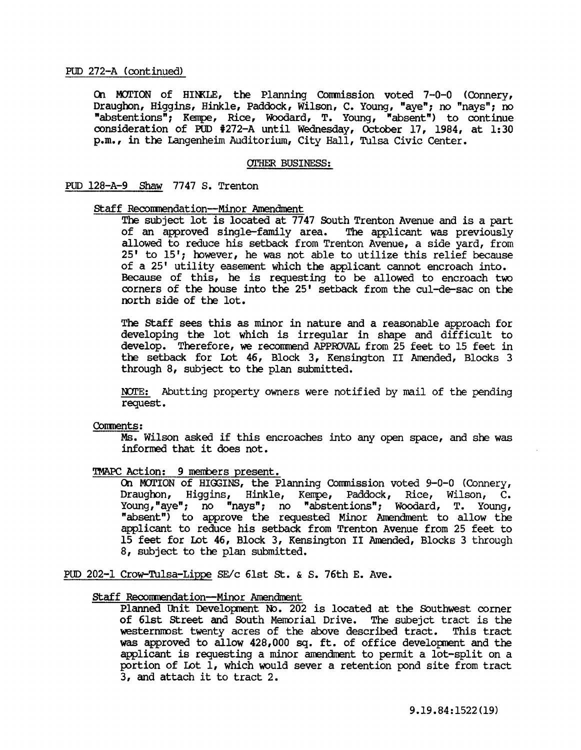On MOTION of HINKLE, the Planning Commission voted 7-0-0 (Connery, Draughon, Higgins, Hinkle, Paddock, Wilson, C. Young, "aye"; no "nays"; no "abstentions"; Kempe, Rice, Woodard, T. Young, "absent") to continue consideration of PUD #272-A until Wednesday, October 17, 1984, at 1:30 p.m., in the Langenheim Auditorium, City Hall, Tulsa Civic Center.

### OTHER BUSINESS:

# PUD l28-A-9 Shaw 7747 S. Trenton

### staff Reconmendation-Minor Amendment

The subject lot is located at 7747 South Trenton Avenue and is a part of an approved single-family area. The applicant was previously allowed to reduce his setback from Trenton Avenue, a side yard, from  $25'$  to  $15'$ ; however, he was not able to utilize this relief because of a 25' utility easement which the applicant cannot encroach into. Because of this, he is requesting to be allowed to encroach two corners of the house into the 25' setback from the cul-de-sac on the north side of the lot.

The staff sees this as minor in nature and a reasonable approach for developing the lot which is irregular in shape and difficult to develop. Therefore, we recommend APPROVAL from 25 feet to 15 feet in the setback for Lot 46, Block 3, Kensington II Amended, Blocks 3 through 8, subject to the plan submitted.

NOTE: Abutting property owners were notified by mail of the pending request.

#### Conments:

Ms. Wilson asked if this encroaches into any open space, and she was informed that it does not.

# TMAPC Action: 9 members present.

On MOTION of HIGGINS, the Planning Commission voted  $9-0-0$  (Connery, Draughon, Higgins, Hinkle, Kempe, Paddock, Rice, Wilson, C. Young, "aye"; no "nays"; no "abstentions"; WOOdard, T. Young, "absent") to approve the requested Minor Amendment to allow the applicant to reduce his setback from Trenton Avenue from 25 feet to 15 feet for Lot 46, Block 3, Kensington II Amended, Blocks 3 through 8, subject to the plan submitted.

PUD 202-1 Crow-Tulsa-Lippe SE/c 6lst St. & S. 76th E. Ave.

### staff Reconmendation-Minor Amendment

Planned Unit Development No. 202 is located at the Southwest corner of 6lst Street and South Memorial Drive. The subejct tract is the westernmost twenty acres of the above described tract. This tract westernmost twenty acres of the above described tract. was approved to allow  $428,000$  sq. ft. of office development and the applicant is requesting a minor amendment to permit a lot-split on a portion of Lot 1, which would sever a retention pond site from tract 3, and attach it to tract 2.